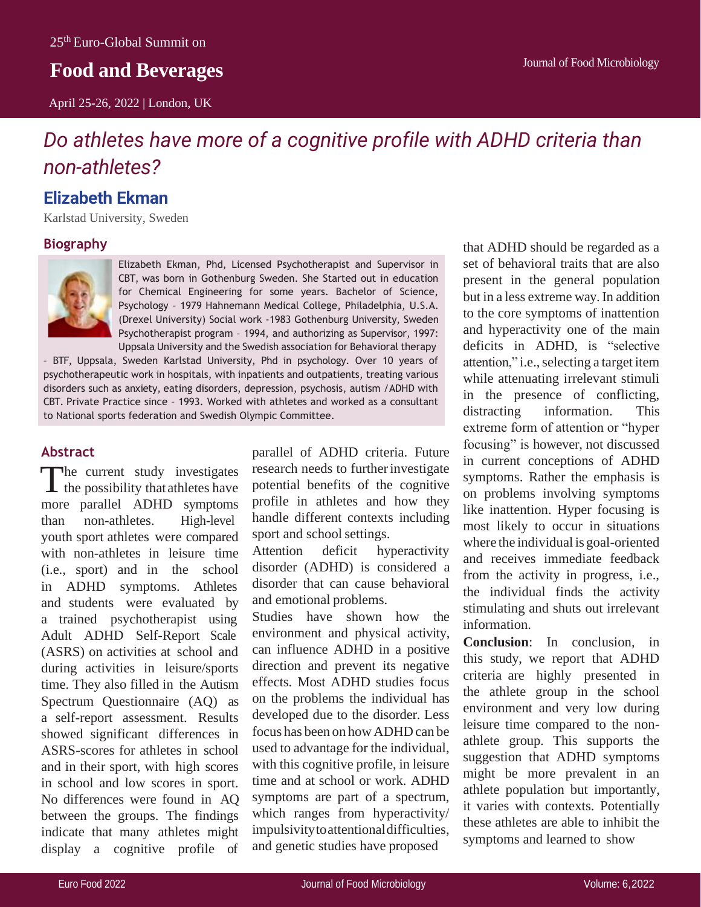## **Food and Beverages**

April 25-26, 2022 | London, UK

# *Do athletes have more of a cognitive profile with ADHD criteria than non-athletes?*

### **Elizabeth Ekman**

Karlstad University, Sweden

#### **Biography**



Elizabeth Ekman, Phd, Licensed Psychotherapist and Supervisor in CBT, was born in Gothenburg Sweden. She Started out in education for Chemical Engineering for some years. Bachelor of Science, Psychology – 1979 Hahnemann Medical College, Philadelphia, U.S.A. (Drexel University) Social work -1983 Gothenburg University, Sweden Psychotherapist program – 1994, and authorizing as Supervisor, 1997: Uppsala University and the Swedish association for Behavioral therapy

– BTF, Uppsala, Sweden Karlstad University, Phd in psychology. Over 10 years of psychotherapeutic work in hospitals, with inpatients and outpatients, treating various disorders such as anxiety, eating disorders, depression, psychosis, autism /ADHD with CBT. Private Practice since – 1993. Worked with athletes and worked as a consultant to National sports federation and Swedish Olympic Committee.

#### **Abstract**

The current study investigates<br>the possibility that athletes have The current study investigates more parallel ADHD symptoms than non-athletes. High-level youth sport athletes were compared with non-athletes in leisure time (i.e., sport) and in the school in ADHD symptoms. Athletes and students were evaluated by a trained psychotherapist using Adult ADHD Self-Report Scale (ASRS) on activities at school and during activities in leisure/sports time. They also filled in the Autism Spectrum Questionnaire (AQ) as a self-report assessment. Results showed significant differences in ASRS-scores for athletes in school and in their sport, with high scores in school and low scores in sport. No differences were found in AQ between the groups. The findings indicate that many athletes might display a cognitive profile of

parallel of ADHD criteria. Future research needs to furtherinvestigate potential benefits of the cognitive profile in athletes and how they handle different contexts including sport and school settings.

Attention deficit hyperactivity disorder (ADHD) is considered a disorder that can cause behavioral and emotional problems.

Studies have shown how the environment and physical activity, can influence ADHD in a positive direction and prevent its negative effects. Most ADHD studies focus on the problems the individual has developed due to the disorder. Less focus has been on how ADHD can be used to advantage for the individual, with this cognitive profile, in leisure time and at school or work. ADHD symptoms are part of a spectrum, which ranges from hyperactivity/ impulsivitytoattentionaldifficulties, and genetic studies have proposed

that ADHD should be regarded as a set of behavioral traits that are also present in the general population but in a less extreme way.In addition to the core symptoms of inattention and hyperactivity one of the main deficits in ADHD, is "selective attention," i.e., selecting a target item while attenuating irrelevant stimuli in the presence of conflicting, distracting information. This extreme form of attention or "hyper focusing" is however, not discussed in current conceptions of ADHD symptoms. Rather the emphasis is on problems involving symptoms like inattention. Hyper focusing is most likely to occur in situations where the individual is goal-oriented and receives immediate feedback from the activity in progress, i.e., the individual finds the activity stimulating and shuts out irrelevant information.

**Conclusion**: In conclusion, in this study, we report that ADHD criteria are highly presented in the athlete group in the school environment and very low during leisure time compared to the nonathlete group. This supports the suggestion that ADHD symptoms might be more prevalent in an athlete population but importantly, it varies with contexts. Potentially these athletes are able to inhibit the symptoms and learned to show